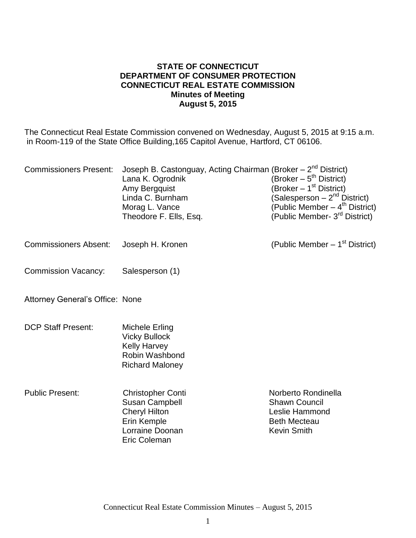#### **STATE OF CONNECTICUT DEPARTMENT OF CONSUMER PROTECTION CONNECTICUT REAL ESTATE COMMISSION Minutes of Meeting August 5, 2015**

The Connecticut Real Estate Commission convened on Wednesday, August 5, 2015 at 9:15 a.m. in Room-119 of the State Office Building,165 Capitol Avenue, Hartford, CT 06106.

| <b>Commissioners Present:</b>          | Joseph B. Castonguay, Acting Chairman (Broker - 2 <sup>nd</sup> District)<br>Lana K. Ogrodnik<br>Amy Bergquist<br>Linda C. Burnham<br>Morag L. Vance<br>Theodore F. Ells, Esq. | (Broker $-5^{th}$ District)<br>(Broker – 1 <sup>st</sup> District)<br>(Salesperson – 2 <sup>nd</sup> District)<br>(Public Member $-$ 4 <sup>th</sup> District)<br>(Public Member- 3 <sup>rd</sup> District) |
|----------------------------------------|--------------------------------------------------------------------------------------------------------------------------------------------------------------------------------|-------------------------------------------------------------------------------------------------------------------------------------------------------------------------------------------------------------|
| <b>Commissioners Absent:</b>           | Joseph H. Kronen                                                                                                                                                               | (Public Member $-1st$ District)                                                                                                                                                                             |
| <b>Commission Vacancy:</b>             | Salesperson (1)                                                                                                                                                                |                                                                                                                                                                                                             |
| <b>Attorney General's Office: None</b> |                                                                                                                                                                                |                                                                                                                                                                                                             |
| <b>DCP Staff Present:</b>              | <b>Michele Erling</b><br><b>Vicky Bullock</b><br><b>Kelly Harvey</b><br>Robin Washbond<br><b>Richard Maloney</b>                                                               |                                                                                                                                                                                                             |
| <b>Public Present:</b>                 | <b>Christopher Conti</b><br><b>Susan Campbell</b><br><b>Cheryl Hilton</b><br>Erin Kemple<br>Lorraine Doonan<br>Eric Coleman                                                    | Norberto Rondinella<br><b>Shawn Council</b><br>Leslie Hammond<br><b>Beth Mecteau</b><br><b>Kevin Smith</b>                                                                                                  |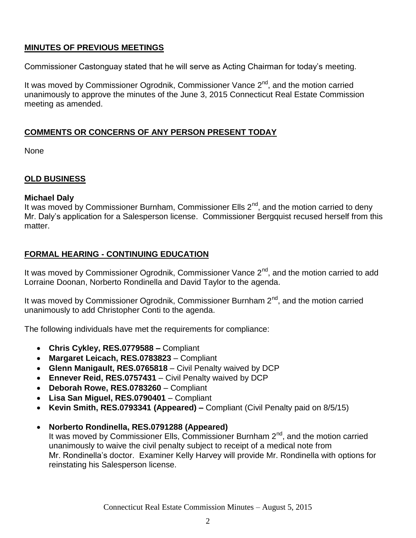# **MINUTES OF PREVIOUS MEETINGS**

Commissioner Castonguay stated that he will serve as Acting Chairman for today's meeting.

It was moved by Commissioner Ogrodnik, Commissioner Vance 2<sup>nd</sup>, and the motion carried unanimously to approve the minutes of the June 3, 2015 Connecticut Real Estate Commission meeting as amended.

## **COMMENTS OR CONCERNS OF ANY PERSON PRESENT TODAY**

None

#### **OLD BUSINESS**

#### **Michael Daly**

It was moved by Commissioner Burnham, Commissioner Ells  $2^{nd}$ , and the motion carried to deny Mr. Daly's application for a Salesperson license. Commissioner Bergquist recused herself from this matter.

## **FORMAL HEARING - CONTINUING EDUCATION**

It was moved by Commissioner Ogrodnik, Commissioner Vance  $2<sup>nd</sup>$ , and the motion carried to add Lorraine Doonan, Norberto Rondinella and David Taylor to the agenda.

It was moved by Commissioner Ogrodnik, Commissioner Burnham  $2<sup>nd</sup>$ , and the motion carried unanimously to add Christopher Conti to the agenda.

The following individuals have met the requirements for compliance:

- **Chris Cykley, RES.0779588 –** Compliant
- **Margaret Leicach, RES.0783823** Compliant
- **Glenn Manigault, RES.0765818** Civil Penalty waived by DCP
- **Ennever Reid, RES.0757431** Civil Penalty waived by DCP
- **Deborah Rowe, RES.0783260** Compliant
- **Lisa San Miguel, RES.0790401** Compliant
- **Kevin Smith, RES.0793341 (Appeared) –** Compliant (Civil Penalty paid on 8/5/15)
- **Norberto Rondinella, RES.0791288 (Appeared)** It was moved by Commissioner Ells, Commissioner Burnham 2<sup>nd</sup>, and the motion carried unanimously to waive the civil penalty subject to receipt of a medical note from Mr. Rondinella's doctor. Examiner Kelly Harvey will provide Mr. Rondinella with options for reinstating his Salesperson license.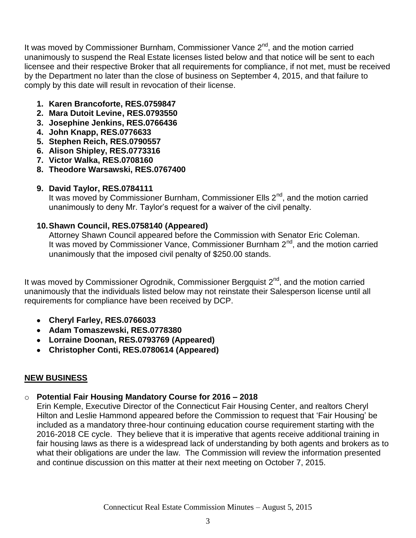It was moved by Commissioner Burnham, Commissioner Vance 2<sup>nd</sup>, and the motion carried unanimously to suspend the Real Estate licenses listed below and that notice will be sent to each licensee and their respective Broker that all requirements for compliance, if not met, must be received by the Department no later than the close of business on September 4, 2015, and that failure to comply by this date will result in revocation of their license.

- **1. Karen Brancoforte, RES.0759847**
- **2. Mara Dutoit Levine, RES.0793550**
- **3. Josephine Jenkins, RES.0766436**
- **4. John Knapp, RES.0776633**
- **5. Stephen Reich, RES.0790557**
- **6. Alison Shipley, RES.0773316**
- **7. Victor Walka, RES.0708160**
- **8. Theodore Warsawski, RES.0767400**
- **9. David Taylor, RES.0784111**

It was moved by Commissioner Burnham, Commissioner Ells 2<sup>nd</sup>, and the motion carried unanimously to deny Mr. Taylor's request for a waiver of the civil penalty.

#### **10.Shawn Council, RES.0758140 (Appeared)**

Attorney Shawn Council appeared before the Commission with Senator Eric Coleman. It was moved by Commissioner Vance, Commissioner Burnham 2<sup>nd</sup>, and the motion carried unanimously that the imposed civil penalty of \$250.00 stands.

It was moved by Commissioner Ogrodnik, Commissioner Bergquist 2<sup>nd</sup>, and the motion carried unanimously that the individuals listed below may not reinstate their Salesperson license until all requirements for compliance have been received by DCP.

- **Cheryl Farley, RES.0766033**
- **Adam Tomaszewski, RES.0778380**
- **Lorraine Doonan, RES.0793769 (Appeared)**
- **Christopher Conti, RES.0780614 (Appeared)**

## **NEW BUSINESS**

## o **Potential Fair Housing Mandatory Course for 2016 – 2018**

Erin Kemple, Executive Director of the Connecticut Fair Housing Center, and realtors Cheryl Hilton and Leslie Hammond appeared before the Commission to request that 'Fair Housing' be included as a mandatory three-hour continuing education course requirement starting with the 2016-2018 CE cycle. They believe that it is imperative that agents receive additional training in fair housing laws as there is a widespread lack of understanding by both agents and brokers as to what their obligations are under the law. The Commission will review the information presented and continue discussion on this matter at their next meeting on October 7, 2015.